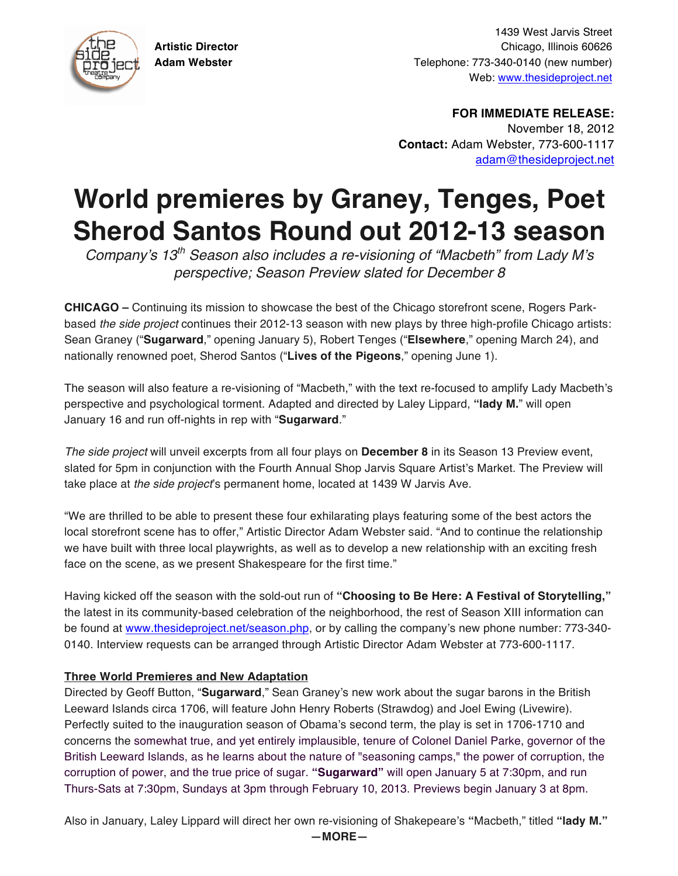

1439 West Jarvis Street **Artistic Director** Chicago, Illinois 60626 **Adam Webster** Telephone: 773-340-0140 (new number) Web: www.thesideproject.net

> **FOR IMMEDIATE RELEASE:** November 18, 2012 **Contact:** Adam Webster, 773-600-1117 adam@thesideproject.net

## **World premieres by Graney, Tenges, Poet Sherod Santos Round out 2012-13 season**

*Company*'*s 13th Season also includes a re-visioning of "Macbeth" from Lady M*'*s perspective; Season Preview slated for December 8*

**CHICAGO –** Continuing its mission to showcase the best of the Chicago storefront scene, Rogers Parkbased *the side project* continues their 2012-13 season with new plays by three high-profile Chicago artists: Sean Graney ("**Sugarward**," opening January 5), Robert Tenges ("**Elsewhere**," opening March 24), and nationally renowned poet, Sherod Santos ("**Lives of the Pigeons**," opening June 1).

The season will also feature a re-visioning of "Macbeth," with the text re-focused to amplify Lady Macbeth's perspective and psychological torment. Adapted and directed by Laley Lippard, **"lady M.**" will open January 16 and run off-nights in rep with "**Sugarward**."

*The side project* will unveil excerpts from all four plays on **December 8** in its Season 13 Preview event, slated for 5pm in conjunction with the Fourth Annual Shop Jarvis Square Artist's Market. The Preview will take place at *the side project*'s permanent home, located at 1439 W Jarvis Ave.

"We are thrilled to be able to present these four exhilarating plays featuring some of the best actors the local storefront scene has to offer," Artistic Director Adam Webster said. "And to continue the relationship we have built with three local playwrights, as well as to develop a new relationship with an exciting fresh face on the scene, as we present Shakespeare for the first time."

Having kicked off the season with the sold-out run of **"Choosing to Be Here: A Festival of Storytelling,"** the latest in its community-based celebration of the neighborhood, the rest of Season XIII information can be found at www.thesideproject.net/season.php, or by calling the company's new phone number: 773-340- 0140. Interview requests can be arranged through Artistic Director Adam Webster at 773-600-1117.

## **Three World Premieres and New Adaptation**

Directed by Geoff Button, "**Sugarward**," Sean Graney's new work about the sugar barons in the British Leeward Islands circa 1706, will feature John Henry Roberts (Strawdog) and Joel Ewing (Livewire). Perfectly suited to the inauguration season of Obama's second term, the play is set in 1706-1710 and concerns the somewhat true, and yet entirely implausible, tenure of Colonel Daniel Parke, governor of the British Leeward Islands, as he learns about the nature of "seasoning camps," the power of corruption, the corruption of power, and the true price of sugar. **"Sugarward"** will open January 5 at 7:30pm, and run Thurs-Sats at 7:30pm, Sundays at 3pm through February 10, 2013. Previews begin January 3 at 8pm.

Also in January, Laley Lippard will direct her own re-visioning of Shakepeare's **"**Macbeth," titled **"lady M."**